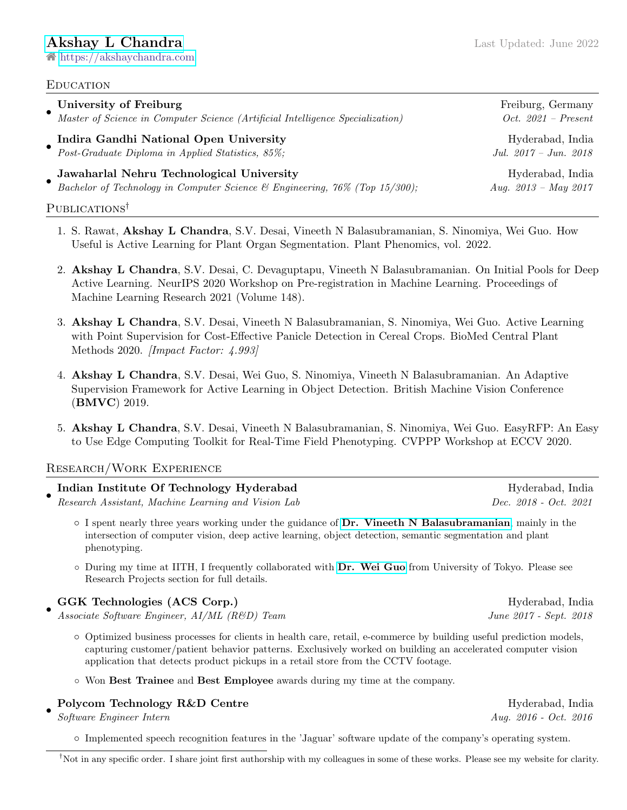# [Akshay L Chandra](https://akshaychandra.com) **Last Updated:** June 2022

<https://akshaychandra.com>

## **EDUCATION**

| University of Freiburg                                                                                                   | Freiburg, Germany                           |
|--------------------------------------------------------------------------------------------------------------------------|---------------------------------------------|
| Master of Science in Computer Science (Artificial Intelligence Specialization)                                           | Oct. $2021$ – Present                       |
| Indira Gandhi National Open University<br>Post-Graduate Diploma in Applied Statistics, 85%;                              | Hyderabad, India<br>Jul. $2017 - Jun.$ 2018 |
| Jawaharlal Nehru Technological University<br>Bachelor of Technology in Computer Science & Engineering, 76% (Top 15/300); | Hyderabad, India<br>Aug. $2013 - May 2017$  |

## PUBLICATIONS<sup>†</sup>

- 1. S. Rawat, Akshay L Chandra, S.V. Desai, Vineeth N Balasubramanian, S. Ninomiya, Wei Guo. How Useful is Active Learning for Plant Organ Segmentation. Plant Phenomics, vol. 2022.
- 2. Akshay L Chandra, S.V. Desai, C. Devaguptapu, Vineeth N Balasubramanian. On Initial Pools for Deep Active Learning. NeurIPS 2020 Workshop on Pre-registration in Machine Learning. Proceedings of Machine Learning Research 2021 (Volume 148).
- 3. Akshay L Chandra, S.V. Desai, Vineeth N Balasubramanian, S. Ninomiya, Wei Guo. Active Learning with Point Supervision for Cost-Effective Panicle Detection in Cereal Crops. BioMed Central Plant Methods 2020. [Impact Factor: 4.993]
- 4. Akshay L Chandra, S.V. Desai, Wei Guo, S. Ninomiya, Vineeth N Balasubramanian. An Adaptive Supervision Framework for Active Learning in Object Detection. British Machine Vision Conference (BMVC) 2019.
- 5. Akshay L Chandra, S.V. Desai, Vineeth N Balasubramanian, S. Ninomiya, Wei Guo. EasyRFP: An Easy to Use Edge Computing Toolkit for Real-Time Field Phenotyping. CVPPP Workshop at ECCV 2020.

## Research/Work Experience

- Indian Institute Of Technology Hyderabad Hyderabad Hyderabad, India Research Assistant, Machine Learning and Vision Lab Dec. 2018 - Oct. 2021
	- I spent nearly three years working under the guidance of [Dr. Vineeth N Balasubramanian](https://www.iith.ac.in/~vineethnb/), mainly in the intersection of computer vision, deep active learning, object detection, semantic segmentation and plant phenotyping.
	- During my time at IITH, I frequently collaborated with [Dr. Wei Guo](https://scholar.google.co.jp/citations?user=pnMyJLEAAAAJ&hl=zh-CN) from University of Tokyo. Please see Research Projects section for full details.

## GGK Technologies (ACS Corp.) Hyderabad, India

• Associate Software Engineer, AI/ML (R&D) Team June 2017 - Sept. 2018

- Optimized business processes for clients in health care, retail, e-commerce by building useful prediction models, capturing customer/patient behavior patterns. Exclusively worked on building an accelerated computer vision application that detects product pickups in a retail store from the CCTV footage.
- Won Best Trainee and Best Employee awards during my time at the company.

## Polycom Technology R&D Centre Hyderabad, India

• Software Engineer Intern  $\Delta u$ g. 2016 - Oct. 2016

◦ Implemented speech recognition features in the 'Jaguar' software update of the company's operating system.

<sup>&</sup>lt;sup>†</sup>Not in any specific order. I share joint first authorship with my colleagues in some of these works. Please see my website for clarity.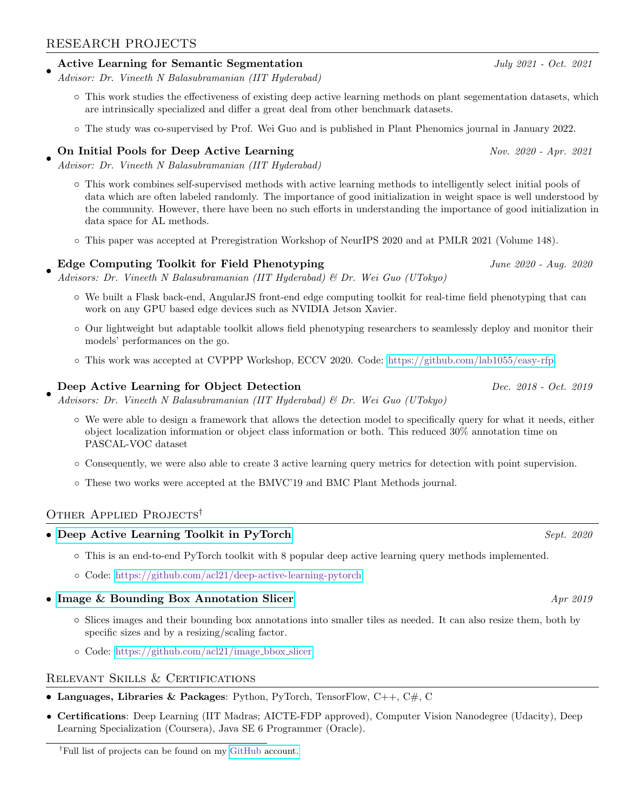## RESEARCH PROJECTS

## Active Learning for Semantic Segmentation July 2021 - Oct. 2021

- Advisor: Dr. Vineeth N Balasubramanian (IIT Hyderabad)
	- This work studies the effectiveness of existing deep active learning methods on plant segementation datasets, which are intrinsically specialized and differ a great deal from other benchmark datasets.
	- The study was co-supervised by Prof. Wei Guo and is published in Plant Phenomics journal in January 2022.

### • On Initial Pools for Deep Active Learning Nov. 2020 - Apr. 2021

- Advisor: Dr. Vineeth N Balasubramanian (IIT Hyderabad)
	- This work combines self-supervised methods with active learning methods to intelligently select initial pools of data which are often labeled randomly. The importance of good initialization in weight space is well understood by the community. However, there have been no such efforts in understanding the importance of good initialization in data space for AL methods.
	- This paper was accepted at Preregistration Workshop of NeurIPS 2020 and at PMLR 2021 (Volume 148).

## Edge Computing Toolkit for Field Phenotyping June 2020 - Aug. 2020

- Advisors: Dr. Vineeth N Balasubramanian (IIT Hyderabad) & Dr. Wei Guo (UTokyo)
	- We built a Flask back-end, AngularJS front-end edge computing toolkit for real-time field phenotyping that can work on any GPU based edge devices such as NVIDIA Jetson Xavier.
	- Our lightweight but adaptable toolkit allows field phenotyping researchers to seamlessly deploy and monitor their models' performances on the go.
	- This work was accepted at CVPPP Workshop, ECCV 2020. Code: [https://github.com/lab1055/easy-rfp.](https://github.com/lab1055/easy-rfp)

## Deep Active Learning for Object Detection Dec. 2018 - Oct. 2019

• Advisors: Dr. Vineeth N Balasubramanian (IIT Hyderabad) & Dr. Wei Guo (UTokyo)

- We were able to design a framework that allows the detection model to specifically query for what it needs, either object localization information or object class information or both. This reduced 30% annotation time on PASCAL-VOC dataset
- Consequently, we were also able to create 3 active learning query metrics for detection with point supervision.
- These two works were accepted at the BMVC'19 and BMC Plant Methods journal.

## OTHER APPLIED PROJECTS<sup>†</sup>

## • [Deep Active Learning Toolkit in PyTorch](https://github.com/acl21/deep-active-learning-pytorch) Sept. 2020

- This is an end-to-end PyTorch toolkit with 8 popular deep active learning query methods implemented.
- Code: <https://github.com/acl21/deep-active-learning-pytorch>

## • [Image & Bounding Box Annotation Slicer](https://github.com/acl21/image_bbox_slicer)  $Ar^{2019}$

- Slices images and their bounding box annotations into smaller tiles as needed. It can also resize them, both by specific sizes and by a resizing/scaling factor.
- Code: [https://github.com/acl21/image](https://github.com/acl21/image_bbox_slicer) bbox slicer

## Relevant Skills & Certifications

- Languages, Libraries & Packages: Python, PyTorch, TensorFlow,  $C_{++}$ ,  $C_{+}$ , C
- Certifications: Deep Learning (IIT Madras; AICTE-FDP approved), Computer Vision Nanodegree (Udacity), Deep Learning Specialization (Coursera), Java SE 6 Programmer (Oracle).